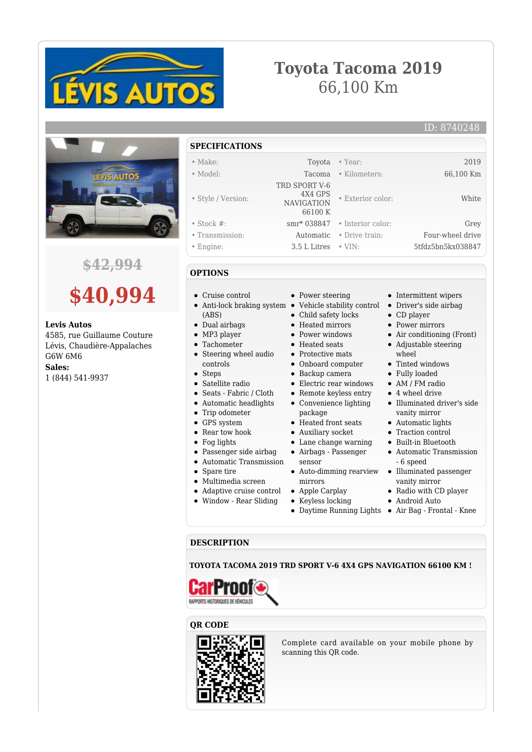

# **Toyota Tacoma 2019** 66,100 Km



## **\$42,994**



#### **Levis Autos**

4585, rue Guillaume Couture Lévis, Chaudière-Appalaches G6W 6M6

**Sales:**

1 (844) 541-9937

- **SPECIFICATIONS**
- Make: Toyota Year: 2019
- Model: Tacoma Kilometers: 66,100 Km
- Style / Version:
- 
- Stock #: smr\* 038847 Interior color: Grey
- Transmission: Automatic Drive train: Four-wheel drive
- Engine: 3.5 L Litres VIN: 5tfdz5bn5kx038847

#### **OPTIONS**

- Cruise control
- Anti-lock braking system (ABS)
- Dual airbags
- MP3 player
- Tachometer  $\bullet$
- Steering wheel audio controls
- Steps
- Satellite radio
- Seats Fabric / Cloth
- Automatic headlights
- Trip odometer
- GPS system
- Rear tow hook
- Fog lights
- Passenger side airbag
- Automatic Transmission
- Spare tire
- Multimedia screen
- Adaptive cruise control
- Window Rear Sliding

• Power steering

 TRD SPORT V-6 4X4 GPS NAVIGATION 66100 K

- Vehicle stability control
- Child safety locks
- Heated mirrors
- Power windows
- Heated seats
- Protective mats
- Onboard computer
- Backup camera
- Electric rear windows Remote keyless entry
- Convenience lighting package
- Heated front seats
- Auxiliary socket
- Lane change warning
- Airbags Passenger
- sensor Auto-dimming rearview
- mirrors
- Apple Carplay
- Keyless locking
- 
- Intermittent wipers Driver's side airbag
- CD player

• Exterior color: White

- Power mirrors
- Air conditioning (Front)
- Adjustable steering
- wheel
- Tinted windows
- Fully loaded
- AM / FM radio
- 4 wheel drive
- Illuminated driver's side vanity mirror
- Automatic lights
- Traction control
- Built-in Bluetooth
- Automatic Transmission - 6 speed
- Illuminated passenger vanity mirror
- Radio with CD player
- Android Auto
- Daytime Running Lights Air Bag Frontal Knee

### **DESCRIPTION**

**TOYOTA TACOMA 2019 TRD SPORT V-6 4X4 GPS NAVIGATION 66100 KM !**



#### **QR CODE**



Complete card available on your mobile phone by scanning this QR code.